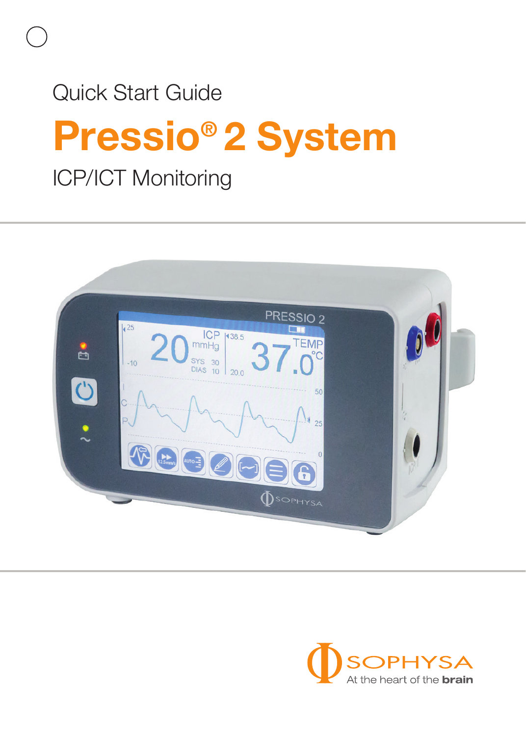# **Pressio® 2 System** Quick Start Guide

ICP/ICT Monitoring



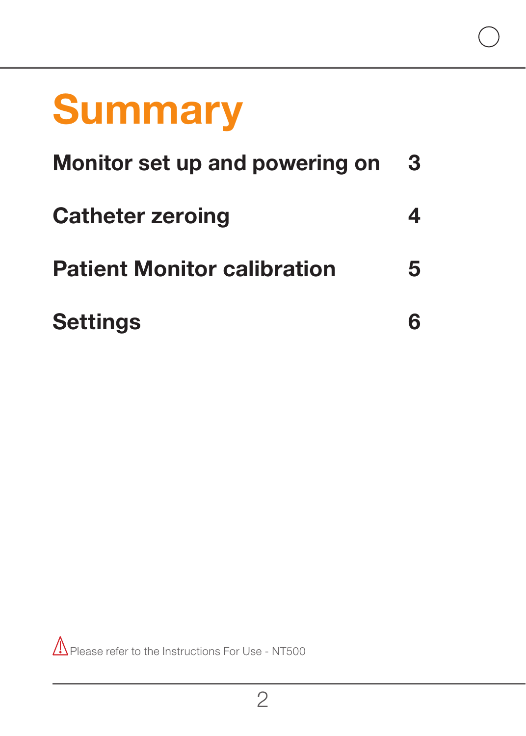# **Summary**

| Monitor set up and powering on     | 3  |
|------------------------------------|----|
| <b>Catheter zeroing</b>            | 4  |
| <b>Patient Monitor calibration</b> | 5. |
| <b>Settings</b>                    |    |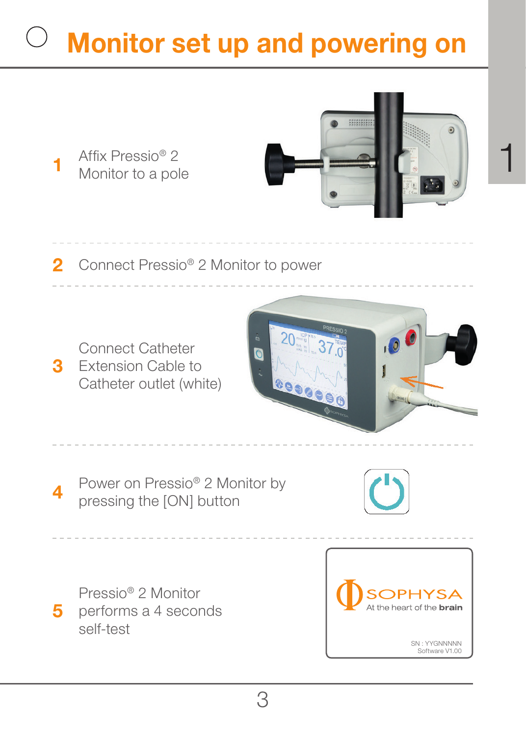## **Monitor set up and powering on**

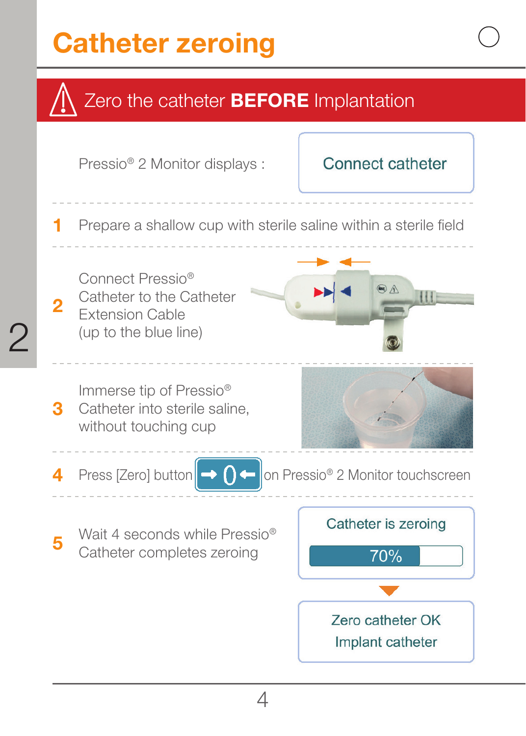### **Catheter zeroing**

2



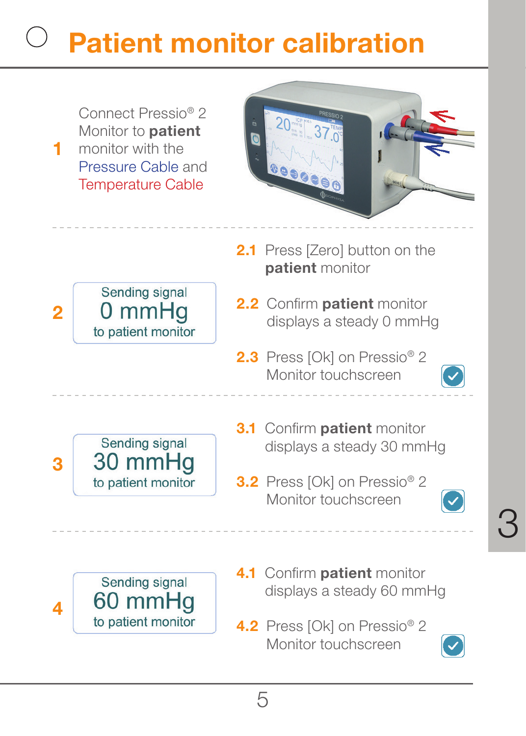## **Patient monitor calibration**

Connect Pressio® 2 Monitor to **patient** monitor with the Pressure Cable and Temperature Cable

**1**



2.1 Press [Zero] button on the **patient** monitor



- **2.2** Confirm **patient** monitor displays a steady 0 mmHg
- **2.3** Press [Ok] on Pressio® 2 Monitor touchscreen



- Sending signal 30 mmHg **3** to patient monitor
- **3.1** Confirm **patient** monitor displays a steady 30 mmHg
- **3.2** Press [Ok] on Pressio® 2 Monitor touchscreen



3

Sending signal 60 mmHg **4** to patient monitor

- **4.1 Confirm patient monitor** displays a steady 60 mmHg
- **4.2** Press [Ok] on Pressio® 2 Monitor touchscreen

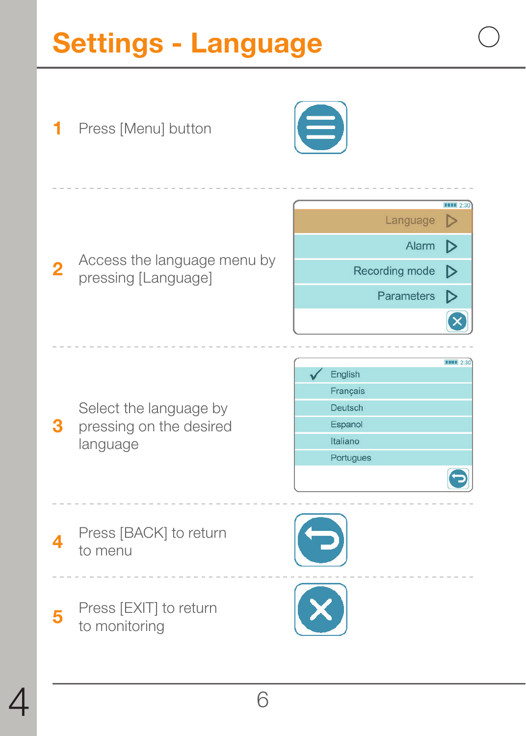### **Settings - Language**

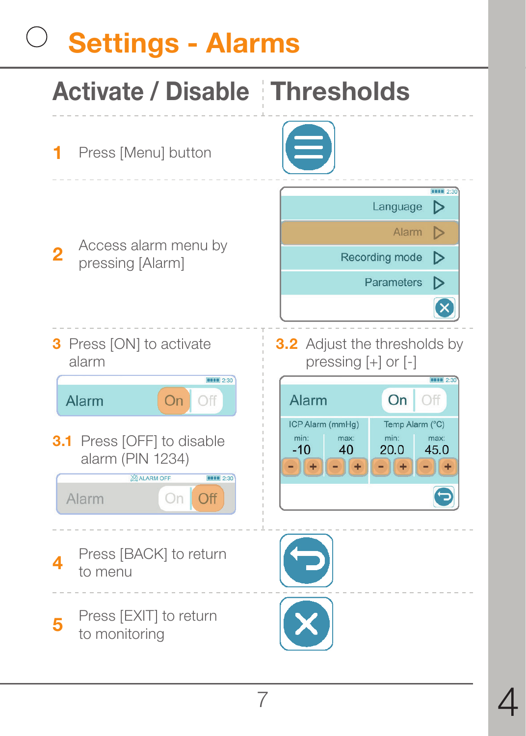# **Settings - Alarms**